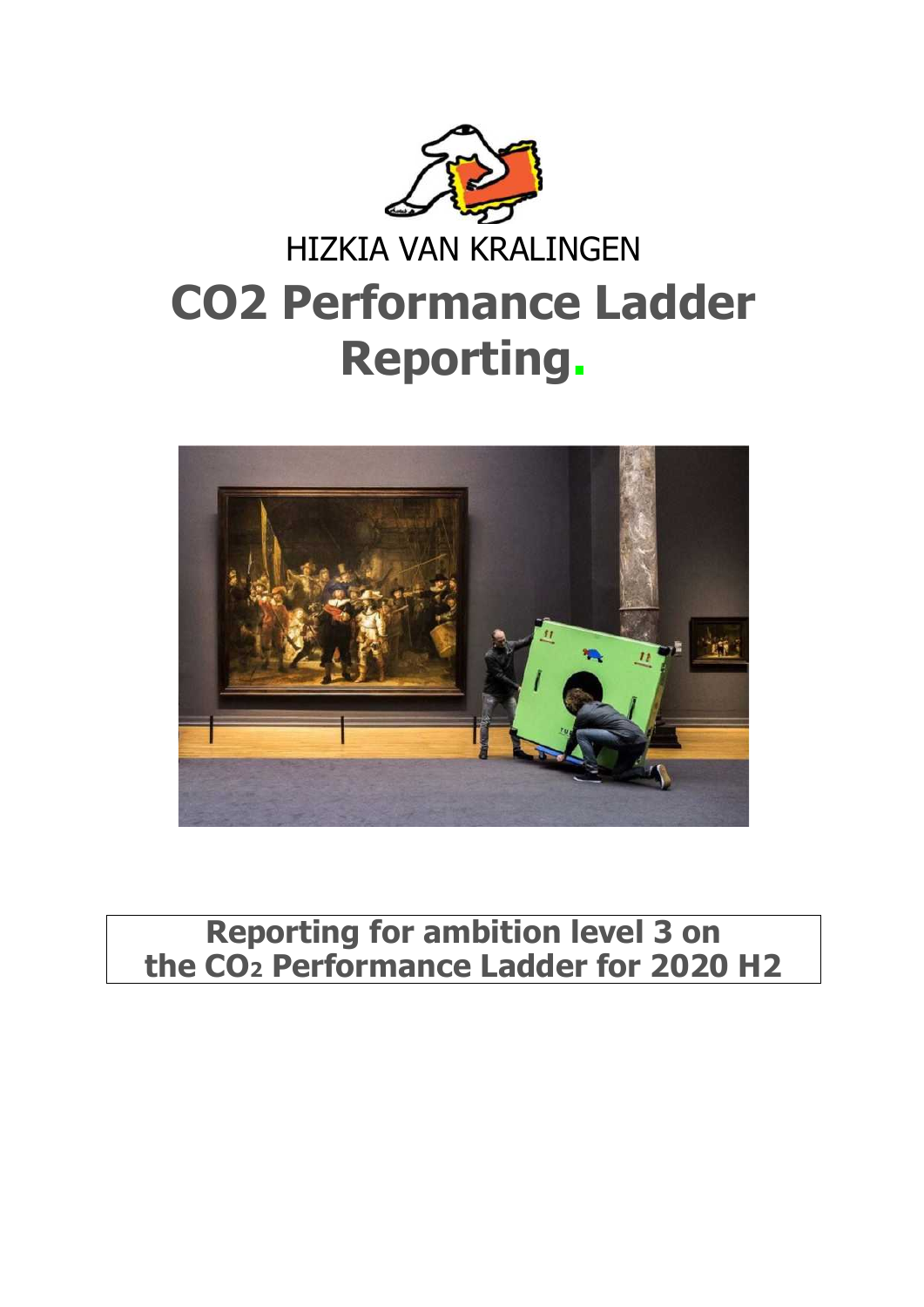



# **Reporting for ambition level 3 on the CO2 Performance Ladder for 2020 H2**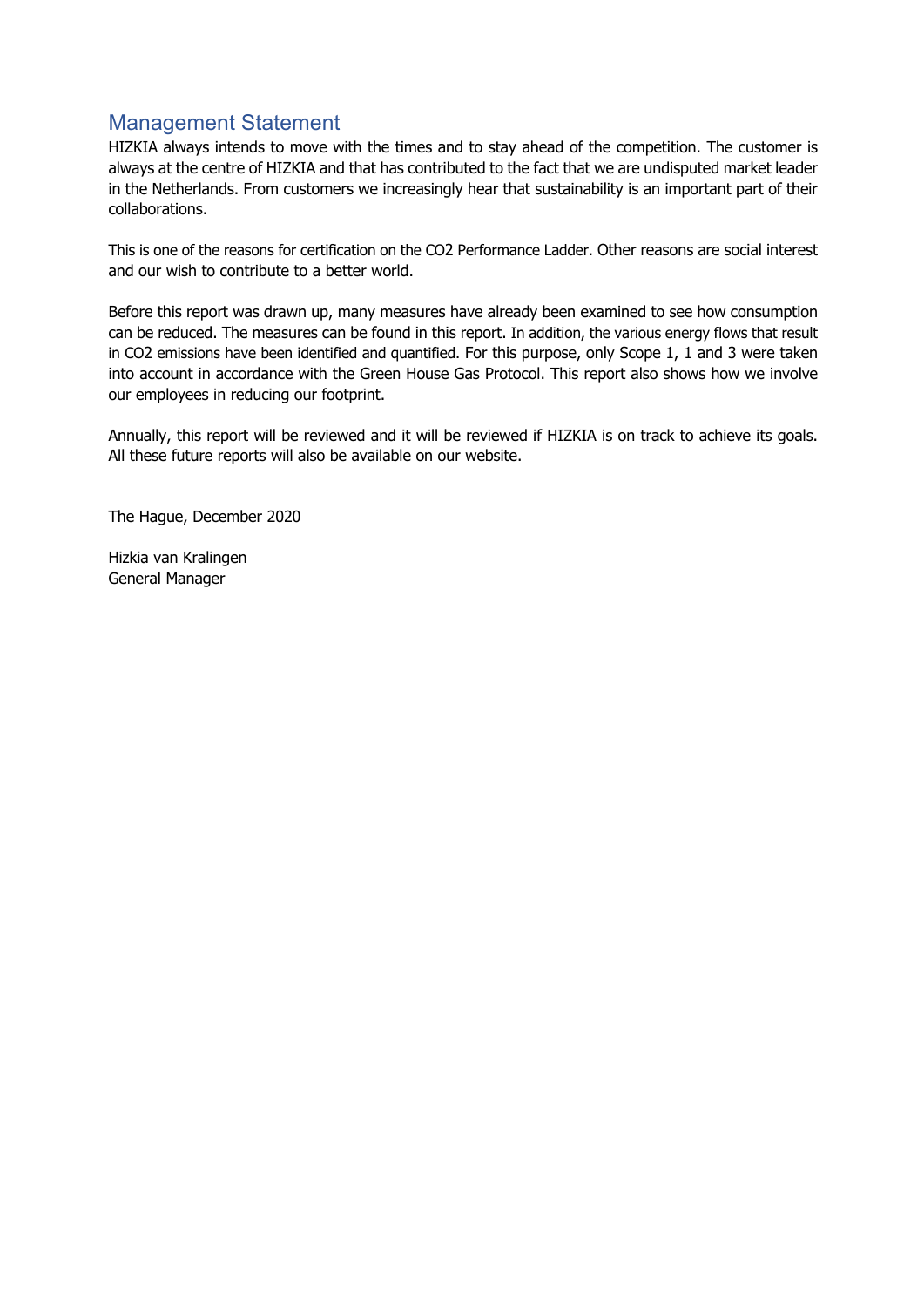## Management Statement

HIZKIA always intends to move with the times and to stay ahead of the competition. The customer is always at the centre of HIZKIA and that has contributed to the fact that we are undisputed market leader in the Netherlands. From customers we increasingly hear that sustainability is an important part of their collaborations.

This is one of the reasons for certification on the CO2 Performance Ladder. Other reasons are social interest and our wish to contribute to a better world.

Before this report was drawn up, many measures have already been examined to see how consumption can be reduced. The measures can be found in this report. In addition, the various energy flows that result in CO2 emissions have been identified and quantified. For this purpose, only Scope 1, 1 and 3 were taken into account in accordance with the Green House Gas Protocol. This report also shows how we involve our employees in reducing our footprint.

Annually, this report will be reviewed and it will be reviewed if HIZKIA is on track to achieve its goals. All these future reports will also be available on our website.

The Hague, December 2020

Hizkia van Kralingen General Manager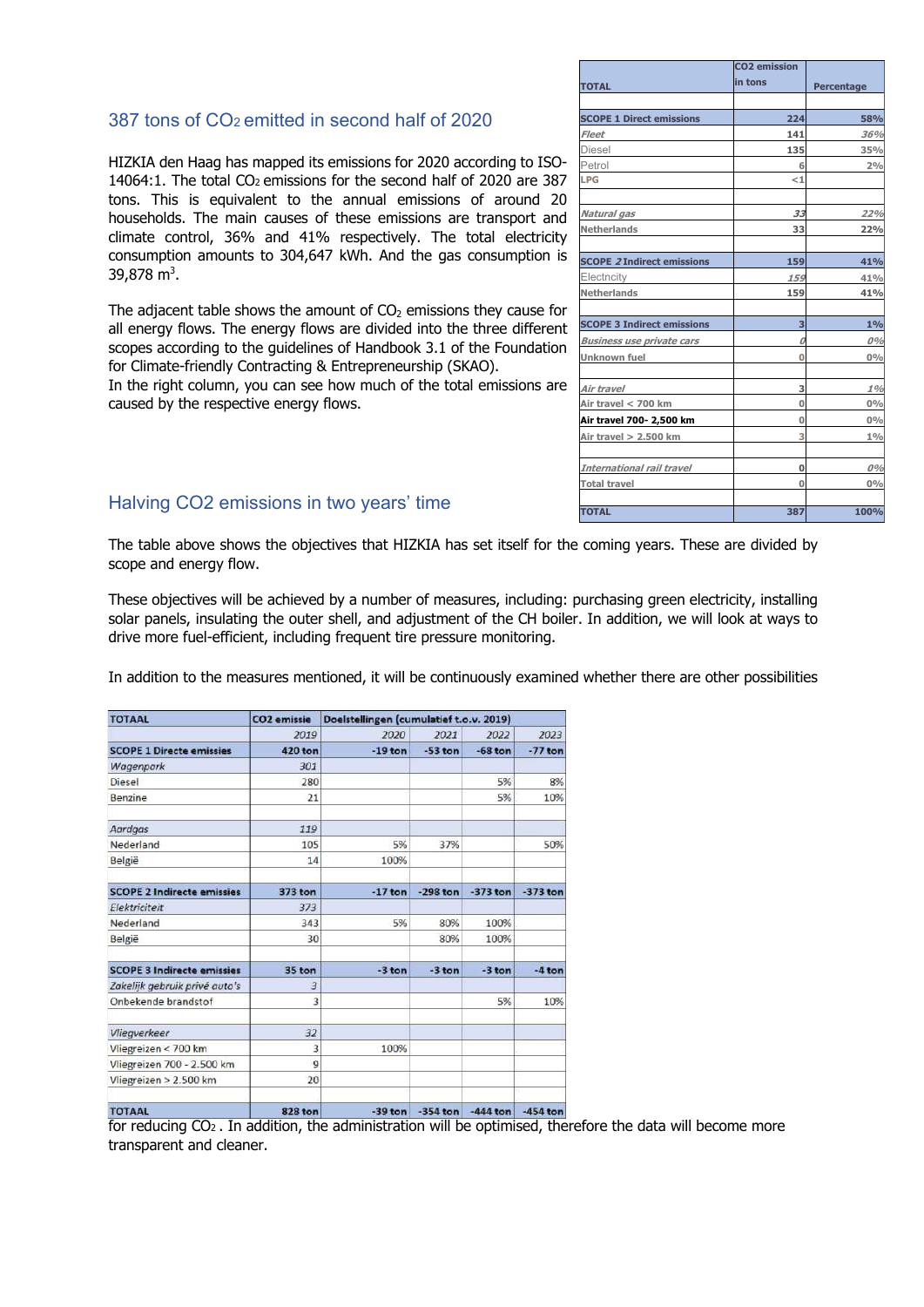#### 387 tons of CO2 emitted in second half of 2020

HIZKIA den Haag has mapped its emissions for 2020 according to ISO-14064:1. The total CO<sub>2</sub> emissions for the second half of 2020 are 387 tons. This is equivalent to the annual emissions of around 20 households. The main causes of these emissions are transport and climate control, 36% and 41% respectively. The total electricity consumption amounts to 304,647 kWh. And the gas consumption is 39,878 m<sup>3</sup>.

The adjacent table shows the amount of  $CO<sub>2</sub>$  emissions they cause for all energy flows. The energy flows are divided into the three different scopes according to the guidelines of Handbook 3.1 of the Foundation for Climate-friendly Contracting & Entrepreneurship (SKAO).

In the right column, you can see how much of the total emissions are caused by the respective energy flows.

|                                   | <b>CO2</b> emission<br>in tons |            |
|-----------------------------------|--------------------------------|------------|
| <b>TOTAL</b>                      |                                | Percentage |
| <b>SCOPE 1 Direct emissions</b>   | 224                            | 58%        |
| <b>Fleet</b>                      | 141                            | 36%        |
| <b>Diesel</b>                     | 135                            | 35%        |
| Petrol                            | 6                              | 2%         |
| LPG                               | ${<}1$                         |            |
| Natural gas                       | 33                             | 22%        |
| <b>Netherlands</b>                | 33                             | 22%        |
| <b>SCOPE 2 Indirect emissions</b> | 159                            | 41%        |
| Electncity                        | 159                            | 41%        |
| <b>Netherlands</b>                | 159                            | 41%        |
| <b>SCOPE 3 Indirect emissions</b> | 3                              | $1\%$      |
| <b>Business use private cars</b>  | 0                              | 0%         |
| <b>Unknown fuel</b>               | $\bf{0}$                       | $0\%$      |
| Air travel                        | 3                              | 1%         |
| Air travel < 700 km               | 0                              | $0\%$      |
| Air travel 700- 2,500 km          | $\mathbf 0$                    | $0\%$      |
| Air travel > 2.500 km             | 3                              | $1\%$      |
| International rail travel         | 0                              | 0%         |
| <b>Total travel</b>               | $\overline{0}$                 | $0\%$      |
| <b>TOTAL</b>                      | 387                            | 100%       |

#### Halving CO2 emissions in two years' time

The table above shows the objectives that HIZKIA has set itself for the coming years. These are divided by scope and energy flow.

These objectives will be achieved by a number of measures, including: purchasing green electricity, installing solar panels, insulating the outer shell, and adjustment of the CH boiler. In addition, we will look at ways to drive more fuel-efficient, including frequent tire pressure monitoring.

In addition to the measures mentioned, it will be continuously examined whether there are other possibilities

| <b>TOTAAL</b>                     | CO <sub>2</sub> emissie | Doelstellingen (cumulatief t.o.v. 2019) |            |            |            |
|-----------------------------------|-------------------------|-----------------------------------------|------------|------------|------------|
|                                   | 2019                    | 2020                                    | 2021       | 2022       | 2023       |
| <b>SCOPE 1 Directe emissies</b>   | <b>420 ton</b>          | $-19$ ton                               | $-53$ ton  | $-68$ ton  | $-77$ ton  |
| Wagenpark                         | 301                     |                                         |            |            |            |
| Diesel                            | 280                     |                                         |            | 5%         | 8%         |
| Benzine                           | 21                      |                                         |            | 5%         | 10%        |
| Aardgas                           | 119                     |                                         |            |            |            |
| Nederland                         | 105                     | 5%                                      | 37%        |            | 50%        |
| België                            | 14                      | 100%                                    |            |            |            |
| <b>SCOPE 2 Indirecte emissies</b> | 373 ton                 | $-17$ ton                               | $-298$ ton | $-373$ ton | $-373$ ton |
| Elektriciteit                     | 373                     |                                         |            |            |            |
| Nederland                         | 343                     | 5%                                      | 80%        | 100%       |            |
| België                            | 30                      |                                         | 80%        | 100%       |            |
| <b>SCOPE 3 Indirecte emissies</b> | 35 ton                  | -3 ton                                  | $-3$ ton   | $-3$ ton   | $-4$ ton   |
| Zakelijk gebruik privé auto's     | 3                       |                                         |            |            |            |
| Onbekende brandstof               | 3                       |                                         |            | 5%         | 10%        |
| Vliegverkeer                      | 32                      |                                         |            |            |            |
| Vliegreizen < 700 km              | 3                       | 100%                                    |            |            |            |
| Vliegreizen 700 - 2.500 km        | $\overline{9}$          |                                         |            |            |            |
| Vliegreizen > 2.500 km            | 20                      |                                         |            |            |            |
| <b>TOTAAL</b>                     | <b>828 ton</b>          | $-39$ ton                               | $-354$ ton | $-444$ ton | $-454$ ton |

for reducing CO2 . In addition, the administration will be optimised, therefore the data will become more transparent and cleaner.